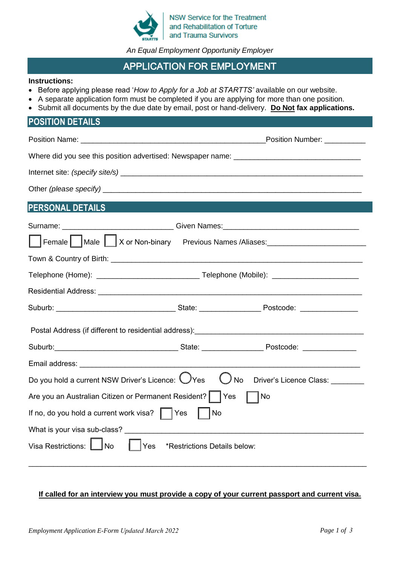

NSW Service for the Treatment and Rehabilitation of Torture and Trauma Survivors

*An Equal Employment Opportunity Employer* 

# APPLICATION FOR EMPLOYMENT

#### **Instructions:**

- Before applying please read '*How to Apply for a Job at STARTTS'* available on our website.
- A separate application form must be completed if you are applying for more than one position.
- Submit all documents by the due date by email, post or hand-delivery. **Do Not fax applications.**

# **POSITION DETAILS**

|                                                                                                               | Position Number: __________ |  |  |  |  |  |
|---------------------------------------------------------------------------------------------------------------|-----------------------------|--|--|--|--|--|
|                                                                                                               |                             |  |  |  |  |  |
|                                                                                                               |                             |  |  |  |  |  |
|                                                                                                               |                             |  |  |  |  |  |
| <b>PERSONAL DETAILS</b>                                                                                       |                             |  |  |  |  |  |
| Surname: _____________________________Given Names: _____________________________                              |                             |  |  |  |  |  |
| Female   Male   X or Non-binary Previous Names /Aliases: ______________________                               |                             |  |  |  |  |  |
|                                                                                                               |                             |  |  |  |  |  |
|                                                                                                               |                             |  |  |  |  |  |
|                                                                                                               |                             |  |  |  |  |  |
|                                                                                                               |                             |  |  |  |  |  |
|                                                                                                               |                             |  |  |  |  |  |
|                                                                                                               |                             |  |  |  |  |  |
|                                                                                                               |                             |  |  |  |  |  |
| Do you hold a current NSW Driver's Licence: $\bigcup$ Yes<br>$\bigcup$ No<br>Driver's Licence Class: ________ |                             |  |  |  |  |  |
| Are you an Australian Citizen or Permanent Resident?   Yes<br>  No                                            |                             |  |  |  |  |  |
| If no, do you hold a current work visa? $\parallel \ \vert$ Yes<br>$\vert$ $\vert$ No                         |                             |  |  |  |  |  |
| What is your visa sub-class?                                                                                  |                             |  |  |  |  |  |
| Visa Restrictions: UNo<br> Yes<br>*Restrictions Details below:                                                |                             |  |  |  |  |  |

#### **If called for an interview you must provide a copy of your current passport and current visa.**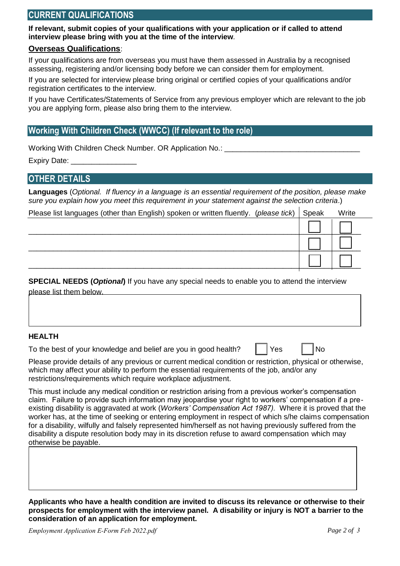### **CURRENT QUALIFICATIONS**

**If relevant, submit copies of your qualifications with your application or if called to attend interview please bring with you at the time of the interview***.* 

#### **Overseas Qualifications**:

If your qualifications are from overseas you must have them assessed in Australia by a recognised assessing, registering and/or licensing body before we can consider them for employment.

If you are selected for interview please bring original or certified copies of your qualifications and/or registration certificates to the interview.

If you have Certificates/Statements of Service from any previous employer which are relevant to the job you are applying form, please also bring them to the interview.

# **Working With Children Check (WWCC) (If relevant to the role)**

Working With Children Check Number. OR Application No.:

Expiry Date:

# **OTHER DETAILS**

**Languages** (*Optional. If fluency in a language is an essential requirement of the position, please make sure you explain how you meet this requirement in your statement against the selection criteria*.)

| Please list languages (other than English) spoken or written fluently. (please tick)   Speak | Write |
|----------------------------------------------------------------------------------------------|-------|
|                                                                                              |       |
|                                                                                              |       |
|                                                                                              |       |

**SPECIAL NEEDS (***Optional***)** If you have any special needs to enable you to attend the interview please list them below.

#### **HEALTH**

To the best of your knowledge and belief are you in good health?  $\parallel \parallel$  Yes  $\parallel \parallel$  No

| v<br>٩S |
|---------|
|         |

Please provide details of any previous or current medical condition or restriction, physical or otherwise, which may affect your ability to perform the essential requirements of the job, and/or any restrictions/requirements which require workplace adjustment.

This must include any medical condition or restriction arising from a previous worker's compensation claim. Failure to provide such information may jeopardise your right to workers' compensation if a preexisting disability is aggravated at work (*Workers' Compensation Act 1987).* Where it is proved that the worker has, at the time of seeking or entering employment in respect of which s/he claims compensation for a disability, wilfully and falsely represented him/herself as not having previously suffered from the disability a dispute resolution body may in its discretion refuse to award compensation which may otherwise be payable.

**Applicants who have a health condition are invited to discuss its relevance or otherwise to their prospects for employment with the interview panel. A disability or injury is NOT a barrier to the consideration of an application for employment.**